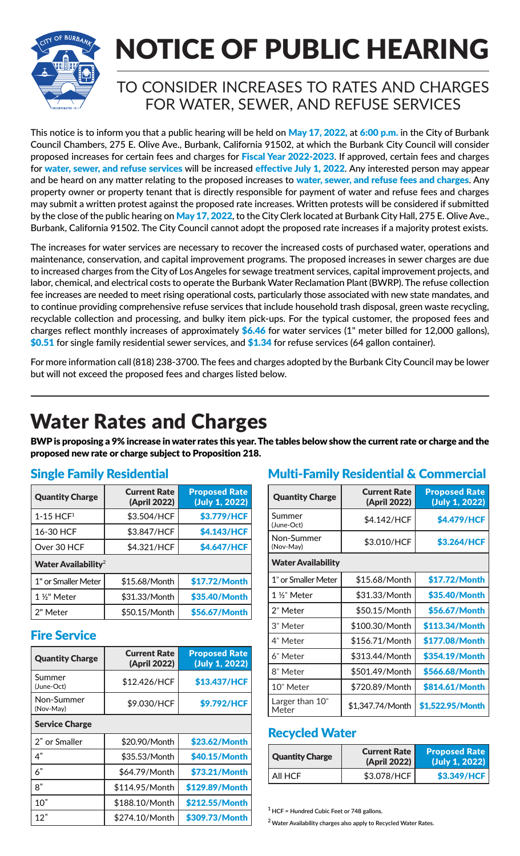

# NOTICE OF PUBLIC HEARING

### TO CONSIDER INCREASES TO RATES AND CHARGES FOR WATER, SEWER, AND REFUSE SERVICES

This notice is to inform you that a public hearing will be held on May 17, 2022, at 6:00 p.m. in the City of Burbank Council Chambers, 275 E. Olive Ave., Burbank, California 91502, at which the Burbank City Council will consider proposed increases for certain fees and charges for Fiscal Year 2022-2023. If approved, certain fees and charges for water, sewer, and refuse services will be increased effective July 1, 2022. Any interested person may appear and be heard on any matter relating to the proposed increases to water, sewer, and refuse fees and charges. Any property owner or property tenant that is directly responsible for payment of water and refuse fees and charges may submit a written protest against the proposed rate increases. Written protests will be considered if submitted by the close of the public hearing on May 17, 2022, to the City Clerk located at Burbank City Hall, 275 E. Olive Ave., Burbank, California 91502. The City Council cannot adopt the proposed rate increases if a majority protest exists.

The increases for water services are necessary to recover the increased costs of purchased water, operations and maintenance, conservation, and capital improvement programs. The proposed increases in sewer charges are due to increased charges from the City of Los Angeles for sewage treatment services, capital improvement projects, and labor, chemical, and electrical costs to operate the Burbank Water Reclamation Plant (BWRP). The refuse collection fee increases are needed to meet rising operational costs, particularly those associated with new state mandates, and to continue providing comprehensive refuse services that include household trash disposal, green waste recycling, recyclable collection and processing, and bulky item pick-ups. For the typical customer, the proposed fees and charges reflect monthly increases of approximately  $$6.46$  for water services (1" meter billed for 12,000 gallons), \$0.51 for single family residential sewer services, and \$1.34 for refuse services (64 gallon container).

For more information call (818) 238-3700. The fees and charges adopted by the Burbank City Council may be lower but will not exceed the proposed fees and charges listed below.

### Water Rates and Charges

BWP is proposing a 9% increase in water rates this year. The tables below show the current rate or charge and the proposed new rate or charge subject to Proposition 218.

| <b>Quantity Charge</b>                 | <b>Current Rate</b><br>(April 2022) | <b>Proposed Rate</b><br>(July 1, 2022) |  |  |
|----------------------------------------|-------------------------------------|----------------------------------------|--|--|
| $1 - 15$ HCF <sup>1</sup>              | \$3.504/HCF                         | \$3.779/HCF                            |  |  |
| 16-30 HCF                              | \$3.847/HCF                         | \$4.143/HCF                            |  |  |
| Over 30 HCF                            | \$4.321/HCF                         | \$4.647/HCF                            |  |  |
| <b>Water Availability</b> <sup>2</sup> |                                     |                                        |  |  |
| 1" or Smaller Meter                    | \$15.68/Month                       | \$17.72/Month                          |  |  |
| 1 1/2" Meter                           | \$31.33/Month                       | \$35.40/Month                          |  |  |
| 2" Meter                               | \$50.15/Month                       | \$56.67/Month                          |  |  |

### Fire Service

| <b>Quantity Charge</b>  | <b>Current Rate</b><br>(April 2022) | <b>Proposed Rate</b><br>(July 1, 2022) |  |  |
|-------------------------|-------------------------------------|----------------------------------------|--|--|
| Summer<br>(June-Oct)    | \$12.426/HCF                        | \$13.437/HCF                           |  |  |
| Non-Summer<br>(Nov-May) | \$9.030/HCF                         | \$9.792/HCF                            |  |  |
| <b>Service Charge</b>   |                                     |                                        |  |  |
| 2" or Smaller           | \$20.90/Month                       | \$23.62/Month                          |  |  |
| 4"                      | \$35.53/Month                       | \$40.15/Month                          |  |  |
| 6"                      | \$64.79/Month                       | \$73.21/Month                          |  |  |
| 8"                      | \$114.95/Month                      | \$129.89/Month                         |  |  |
| 10"                     | \$188.10/Month                      | \$212.55/Month                         |  |  |
| 12"                     | \$274.10/Month                      | \$309.73/Month                         |  |  |

### Single Family Residential **Multi-Family Residential & Commercial**

| <b>Quantity Charge</b>    | <b>Current Rate</b><br>(April 2022) | <b>Proposed Rate</b><br>(July 1, 2022) |
|---------------------------|-------------------------------------|----------------------------------------|
| Summer<br>(June-Oct)      | \$4.142/HCF                         | \$4.479/HCF                            |
| Non-Summer<br>(Nov-May)   | \$3.010/HCF<br>\$3.264/HCF          |                                        |
| <b>Water Availability</b> |                                     |                                        |
| 1" or Smaller Meter       | \$15.68/Month                       | \$17.72/Month                          |
| 1 %" Meter                | \$31.33/Month                       | \$35.40/Month                          |
| 2" Meter                  | \$50.15/Month                       | \$56.67/Month                          |
| 3" Meter                  | \$100.30/Month                      | \$113.34/Month                         |
| 4" Meter                  | \$156.71/Month                      | \$177.08/Month                         |
| 6" Meter                  | \$313.44/Month                      | \$354.19/Month                         |
| 8" Meter                  | \$501.49/Month                      | \$566.68/Month                         |
| 10" Meter                 | \$720.89/Month                      | \$814.61/Month                         |
| Larger than 10"<br>Meter  | \$1,347.74/Month                    | \$1,522.95/Month                       |

### Recycled Water

| <b>Quantity Charge</b> | <b>Current Rate</b><br>(April 2022) | <b>Proposed Rate</b><br>(July 1, 2022) |
|------------------------|-------------------------------------|----------------------------------------|
| All HCF                | \$3.078/HCF                         | \$3.349/HCF                            |

**1 HCF = Hundred Cubic Feet or 748 gallons.**

**2 Water Availability charges also apply to Recycled Water Rates.**